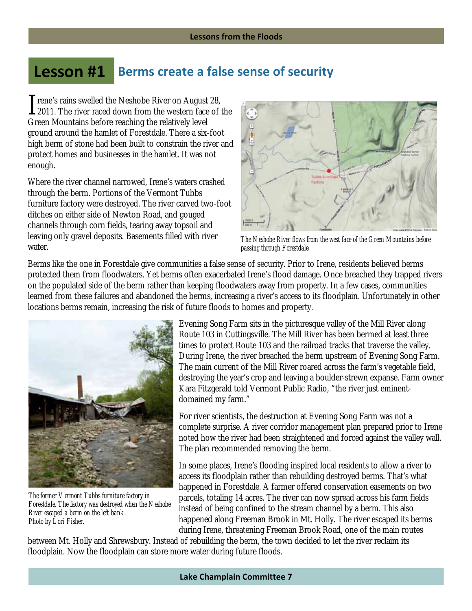## **Lesson #1 Berms create a false sense of security**

rene's rains swelled the Neshobe River on August 28, Trene's rains swelled the Neshobe River on August 28,<br>2011. The river raced down from the western face of the Green Mountains before reaching the relatively level ground around the hamlet of Forestdale. There a six-foot high berm of stone had been built to constrain the river and protect homes and businesses in the hamlet. It was not enough.

Where the river channel narrowed, Irene's waters crashed through the berm. Portions of the Vermont Tubbs furniture factory were destroyed. The river carved two-foot ditches on either side of Newton Road, and gouged channels through corn fields, tearing away topsoil and leaving only gravel deposits. Basements filled with river water.



*The Neshobe River flows from the west face of the Green Mountains before passing through Forestdale.* 

Berms like the one in Forestdale give communities a false sense of security. Prior to Irene, residents believed berms protected them from floodwaters. Yet berms often exacerbated Irene's flood damage. Once breached they trapped rivers on the populated side of the berm rather than keeping floodwaters away from property. In a few cases, communities learned from these failures and abandoned the berms, increasing a river's access to its floodplain. Unfortunately in other locations berms remain, increasing the risk of future floods to homes and property.



*The former Vermont Tubbs furniture factory in Forestdale. The factory was destroyed when the Neshobe River escaped a berm on the left bank. Photo by Lori Fisher.* 

Evening Song Farm sits in the picturesque valley of the Mill River along Route 103 in Cuttingsville. The Mill River has been bermed at least three times to protect Route 103 and the railroad tracks that traverse the valley. During Irene, the river breached the berm upstream of Evening Song Farm. The main current of the Mill River roared across the farm's vegetable field, destroying the year's crop and leaving a boulder-strewn expanse. Farm owner Kara Fitzgerald told Vermont Public Radio, "the river just eminentdomained my farm."

For river scientists, the destruction at Evening Song Farm was not a complete surprise. A river corridor management plan prepared prior to Irene noted how the river had been straightened and forced against the valley wall. The plan recommended removing the berm.

In some places, Irene's flooding inspired local residents to allow a river to access its floodplain rather than rebuilding destroyed berms. That's what happened in Forestdale. A farmer offered conservation easements on two parcels, totaling 14 acres. The river can now spread across his farm fields instead of being confined to the stream channel by a berm. This also happened along Freeman Brook in Mt. Holly. The river escaped its berms during Irene, threatening Freeman Brook Road, one of the main routes

between Mt. Holly and Shrewsbury. Instead of rebuilding the berm, the town decided to let the river reclaim its floodplain. Now the floodplain can store more water during future floods.